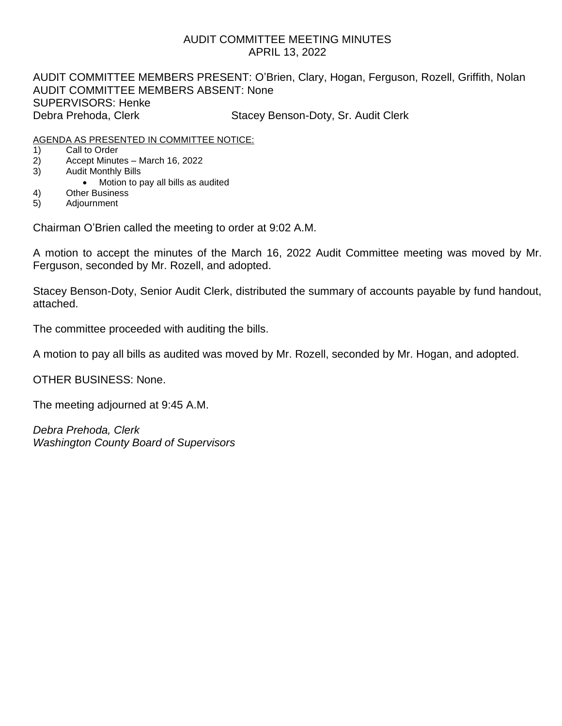# AUDIT COMMITTEE MEETING MINUTES APRIL 13, 2022

AUDIT COMMITTEE MEMBERS PRESENT: O'Brien, Clary, Hogan, Ferguson, Rozell, Griffith, Nolan AUDIT COMMITTEE MEMBERS ABSENT: None SUPERVISORS: Henke Debra Prehoda, Clerk Stacey Benson-Doty, Sr. Audit Clerk

## AGENDA AS PRESENTED IN COMMITTEE NOTICE:

- 1) Call to Order
- 2) Accept Minutes March 16, 2022
- 3) Audit Monthly Bills
	- Motion to pay all bills as audited
- 4) Other Business
- 5) Adjournment

Chairman O'Brien called the meeting to order at 9:02 A.M.

A motion to accept the minutes of the March 16, 2022 Audit Committee meeting was moved by Mr. Ferguson, seconded by Mr. Rozell, and adopted.

Stacey Benson-Doty, Senior Audit Clerk, distributed the summary of accounts payable by fund handout, attached.

The committee proceeded with auditing the bills.

A motion to pay all bills as audited was moved by Mr. Rozell, seconded by Mr. Hogan, and adopted.

OTHER BUSINESS: None.

The meeting adjourned at 9:45 A.M.

*Debra Prehoda, Clerk Washington County Board of Supervisors*